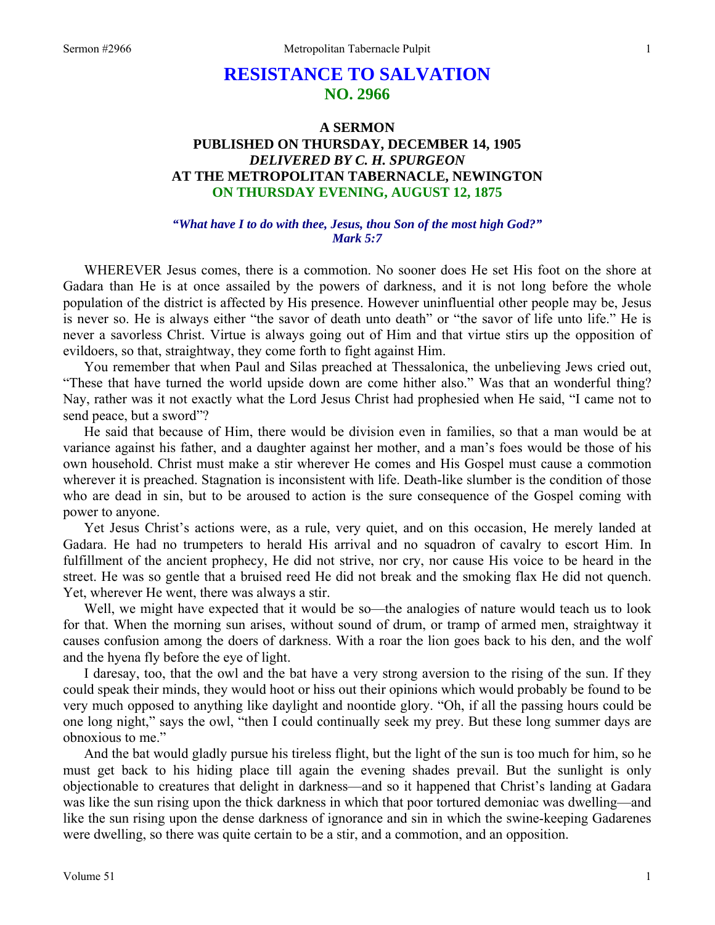# **RESISTANCE TO SALVATION NO. 2966**

## **A SERMON PUBLISHED ON THURSDAY, DECEMBER 14, 1905**  *DELIVERED BY C. H. SPURGEON*  **AT THE METROPOLITAN TABERNACLE, NEWINGTON ON THURSDAY EVENING, AUGUST 12, 1875**

### *"What have I to do with thee, Jesus, thou Son of the most high God?" Mark 5:7*

WHEREVER Jesus comes, there is a commotion. No sooner does He set His foot on the shore at Gadara than He is at once assailed by the powers of darkness, and it is not long before the whole population of the district is affected by His presence. However uninfluential other people may be, Jesus is never so. He is always either "the savor of death unto death" or "the savor of life unto life." He is never a savorless Christ. Virtue is always going out of Him and that virtue stirs up the opposition of evildoers, so that, straightway, they come forth to fight against Him.

 You remember that when Paul and Silas preached at Thessalonica, the unbelieving Jews cried out, "These that have turned the world upside down are come hither also." Was that an wonderful thing? Nay, rather was it not exactly what the Lord Jesus Christ had prophesied when He said, "I came not to send peace, but a sword"?

 He said that because of Him, there would be division even in families, so that a man would be at variance against his father, and a daughter against her mother, and a man's foes would be those of his own household. Christ must make a stir wherever He comes and His Gospel must cause a commotion wherever it is preached. Stagnation is inconsistent with life. Death-like slumber is the condition of those who are dead in sin, but to be aroused to action is the sure consequence of the Gospel coming with power to anyone.

 Yet Jesus Christ's actions were, as a rule, very quiet, and on this occasion, He merely landed at Gadara. He had no trumpeters to herald His arrival and no squadron of cavalry to escort Him. In fulfillment of the ancient prophecy, He did not strive, nor cry, nor cause His voice to be heard in the street. He was so gentle that a bruised reed He did not break and the smoking flax He did not quench. Yet, wherever He went, there was always a stir.

Well, we might have expected that it would be so—the analogies of nature would teach us to look for that. When the morning sun arises, without sound of drum, or tramp of armed men, straightway it causes confusion among the doers of darkness. With a roar the lion goes back to his den, and the wolf and the hyena fly before the eye of light.

 I daresay, too, that the owl and the bat have a very strong aversion to the rising of the sun. If they could speak their minds, they would hoot or hiss out their opinions which would probably be found to be very much opposed to anything like daylight and noontide glory. "Oh, if all the passing hours could be one long night," says the owl, "then I could continually seek my prey. But these long summer days are obnoxious to me."

 And the bat would gladly pursue his tireless flight, but the light of the sun is too much for him, so he must get back to his hiding place till again the evening shades prevail. But the sunlight is only objectionable to creatures that delight in darkness—and so it happened that Christ's landing at Gadara was like the sun rising upon the thick darkness in which that poor tortured demoniac was dwelling—and like the sun rising upon the dense darkness of ignorance and sin in which the swine-keeping Gadarenes were dwelling, so there was quite certain to be a stir, and a commotion, and an opposition.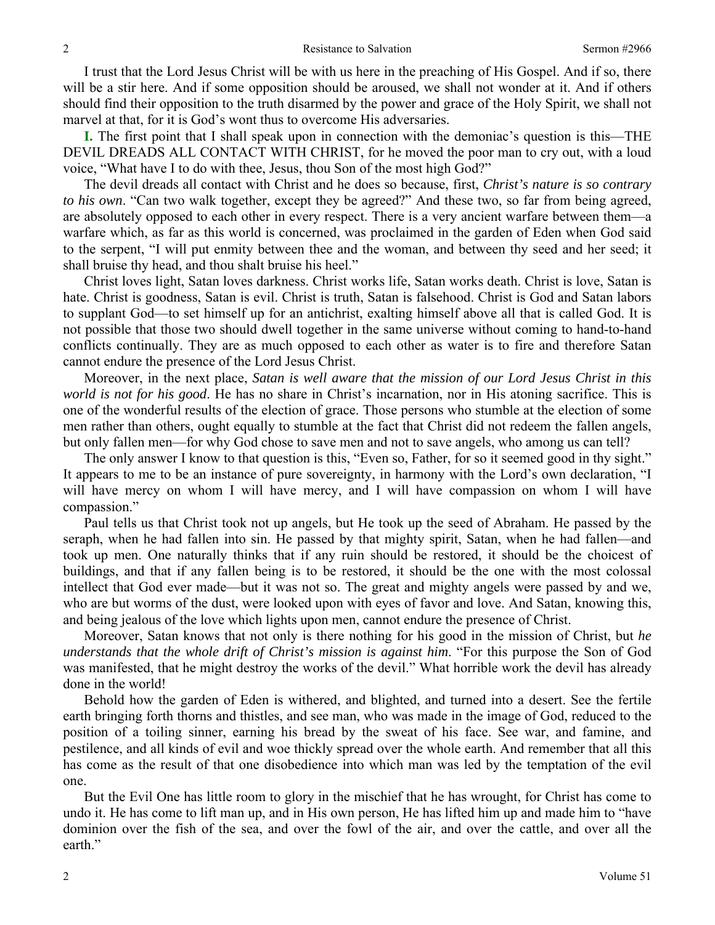I trust that the Lord Jesus Christ will be with us here in the preaching of His Gospel. And if so, there will be a stir here. And if some opposition should be aroused, we shall not wonder at it. And if others should find their opposition to the truth disarmed by the power and grace of the Holy Spirit, we shall not marvel at that, for it is God's wont thus to overcome His adversaries.

**I.** The first point that I shall speak upon in connection with the demoniac's question is this—THE DEVIL DREADS ALL CONTACT WITH CHRIST, for he moved the poor man to cry out, with a loud voice, "What have I to do with thee, Jesus, thou Son of the most high God?"

 The devil dreads all contact with Christ and he does so because, first, *Christ's nature is so contrary to his own*. "Can two walk together, except they be agreed?" And these two, so far from being agreed, are absolutely opposed to each other in every respect. There is a very ancient warfare between them—a warfare which, as far as this world is concerned, was proclaimed in the garden of Eden when God said to the serpent, "I will put enmity between thee and the woman, and between thy seed and her seed; it shall bruise thy head, and thou shalt bruise his heel."

 Christ loves light, Satan loves darkness. Christ works life, Satan works death. Christ is love, Satan is hate. Christ is goodness, Satan is evil. Christ is truth, Satan is falsehood. Christ is God and Satan labors to supplant God—to set himself up for an antichrist, exalting himself above all that is called God. It is not possible that those two should dwell together in the same universe without coming to hand-to-hand conflicts continually. They are as much opposed to each other as water is to fire and therefore Satan cannot endure the presence of the Lord Jesus Christ.

 Moreover, in the next place, *Satan is well aware that the mission of our Lord Jesus Christ in this world is not for his good*. He has no share in Christ's incarnation, nor in His atoning sacrifice. This is one of the wonderful results of the election of grace. Those persons who stumble at the election of some men rather than others, ought equally to stumble at the fact that Christ did not redeem the fallen angels, but only fallen men—for why God chose to save men and not to save angels, who among us can tell?

 The only answer I know to that question is this, "Even so, Father, for so it seemed good in thy sight." It appears to me to be an instance of pure sovereignty, in harmony with the Lord's own declaration, "I will have mercy on whom I will have mercy, and I will have compassion on whom I will have compassion."

 Paul tells us that Christ took not up angels, but He took up the seed of Abraham. He passed by the seraph, when he had fallen into sin. He passed by that mighty spirit, Satan, when he had fallen—and took up men. One naturally thinks that if any ruin should be restored, it should be the choicest of buildings, and that if any fallen being is to be restored, it should be the one with the most colossal intellect that God ever made—but it was not so. The great and mighty angels were passed by and we, who are but worms of the dust, were looked upon with eyes of favor and love. And Satan, knowing this, and being jealous of the love which lights upon men, cannot endure the presence of Christ.

 Moreover, Satan knows that not only is there nothing for his good in the mission of Christ, but *he understands that the whole drift of Christ's mission is against him*. "For this purpose the Son of God was manifested, that he might destroy the works of the devil." What horrible work the devil has already done in the world!

 Behold how the garden of Eden is withered, and blighted, and turned into a desert. See the fertile earth bringing forth thorns and thistles, and see man, who was made in the image of God, reduced to the position of a toiling sinner, earning his bread by the sweat of his face. See war, and famine, and pestilence, and all kinds of evil and woe thickly spread over the whole earth. And remember that all this has come as the result of that one disobedience into which man was led by the temptation of the evil one.

 But the Evil One has little room to glory in the mischief that he has wrought, for Christ has come to undo it. He has come to lift man up, and in His own person, He has lifted him up and made him to "have dominion over the fish of the sea, and over the fowl of the air, and over the cattle, and over all the earth."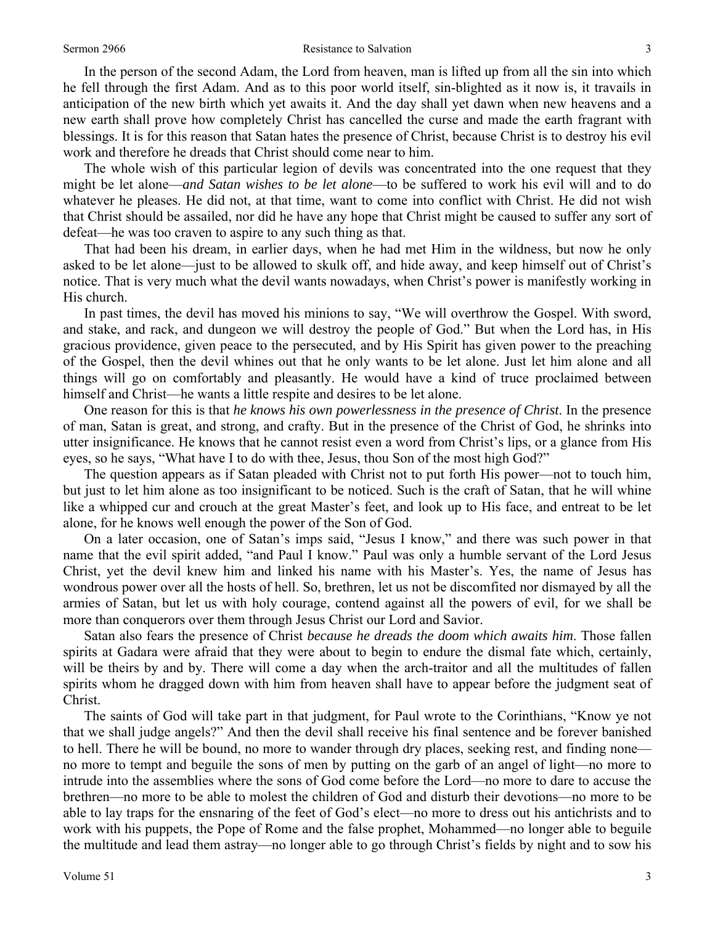#### Sermon 2966 Sermon 2966 Sermon 2966 Sermon 2966 Sermon 2966 Sermon 2966 Sermon 2966 Sermon 2966 Sermon 2008 Se

 In the person of the second Adam, the Lord from heaven, man is lifted up from all the sin into which he fell through the first Adam. And as to this poor world itself, sin-blighted as it now is, it travails in anticipation of the new birth which yet awaits it. And the day shall yet dawn when new heavens and a new earth shall prove how completely Christ has cancelled the curse and made the earth fragrant with blessings. It is for this reason that Satan hates the presence of Christ, because Christ is to destroy his evil work and therefore he dreads that Christ should come near to him.

 The whole wish of this particular legion of devils was concentrated into the one request that they might be let alone—*and Satan wishes to be let alone*—to be suffered to work his evil will and to do whatever he pleases. He did not, at that time, want to come into conflict with Christ. He did not wish that Christ should be assailed, nor did he have any hope that Christ might be caused to suffer any sort of defeat—he was too craven to aspire to any such thing as that.

 That had been his dream, in earlier days, when he had met Him in the wildness, but now he only asked to be let alone—just to be allowed to skulk off, and hide away, and keep himself out of Christ's notice. That is very much what the devil wants nowadays, when Christ's power is manifestly working in His church.

 In past times, the devil has moved his minions to say, "We will overthrow the Gospel. With sword, and stake, and rack, and dungeon we will destroy the people of God." But when the Lord has, in His gracious providence, given peace to the persecuted, and by His Spirit has given power to the preaching of the Gospel, then the devil whines out that he only wants to be let alone. Just let him alone and all things will go on comfortably and pleasantly. He would have a kind of truce proclaimed between himself and Christ—he wants a little respite and desires to be let alone.

 One reason for this is that *he knows his own powerlessness in the presence of Christ*. In the presence of man, Satan is great, and strong, and crafty. But in the presence of the Christ of God, he shrinks into utter insignificance. He knows that he cannot resist even a word from Christ's lips, or a glance from His eyes, so he says, "What have I to do with thee, Jesus, thou Son of the most high God?"

 The question appears as if Satan pleaded with Christ not to put forth His power—not to touch him, but just to let him alone as too insignificant to be noticed. Such is the craft of Satan, that he will whine like a whipped cur and crouch at the great Master's feet, and look up to His face, and entreat to be let alone, for he knows well enough the power of the Son of God.

 On a later occasion, one of Satan's imps said, "Jesus I know," and there was such power in that name that the evil spirit added, "and Paul I know." Paul was only a humble servant of the Lord Jesus Christ, yet the devil knew him and linked his name with his Master's. Yes, the name of Jesus has wondrous power over all the hosts of hell. So, brethren, let us not be discomfited nor dismayed by all the armies of Satan, but let us with holy courage, contend against all the powers of evil, for we shall be more than conquerors over them through Jesus Christ our Lord and Savior.

 Satan also fears the presence of Christ *because he dreads the doom which awaits him*. Those fallen spirits at Gadara were afraid that they were about to begin to endure the dismal fate which, certainly, will be theirs by and by. There will come a day when the arch-traitor and all the multitudes of fallen spirits whom he dragged down with him from heaven shall have to appear before the judgment seat of Christ.

 The saints of God will take part in that judgment, for Paul wrote to the Corinthians, "Know ye not that we shall judge angels?" And then the devil shall receive his final sentence and be forever banished to hell. There he will be bound, no more to wander through dry places, seeking rest, and finding none no more to tempt and beguile the sons of men by putting on the garb of an angel of light—no more to intrude into the assemblies where the sons of God come before the Lord—no more to dare to accuse the brethren—no more to be able to molest the children of God and disturb their devotions—no more to be able to lay traps for the ensnaring of the feet of God's elect—no more to dress out his antichrists and to work with his puppets, the Pope of Rome and the false prophet, Mohammed—no longer able to beguile the multitude and lead them astray—no longer able to go through Christ's fields by night and to sow his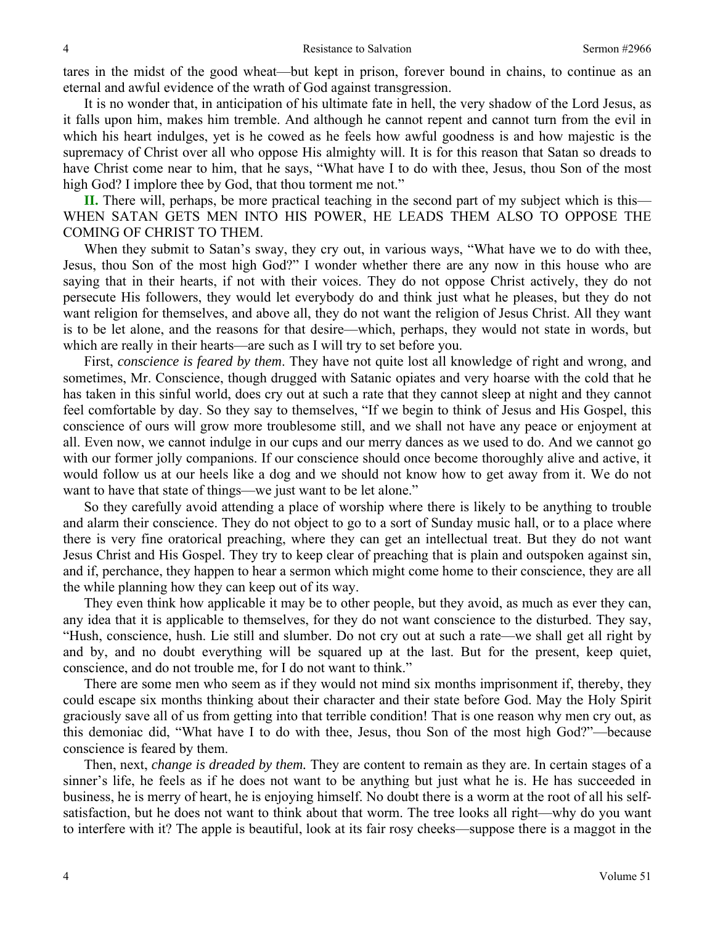tares in the midst of the good wheat—but kept in prison, forever bound in chains, to continue as an eternal and awful evidence of the wrath of God against transgression.

 It is no wonder that, in anticipation of his ultimate fate in hell, the very shadow of the Lord Jesus, as it falls upon him, makes him tremble. And although he cannot repent and cannot turn from the evil in which his heart indulges, yet is he cowed as he feels how awful goodness is and how majestic is the supremacy of Christ over all who oppose His almighty will. It is for this reason that Satan so dreads to have Christ come near to him, that he says, "What have I to do with thee, Jesus, thou Son of the most high God? I implore thee by God, that thou torment me not."

**II.** There will, perhaps, be more practical teaching in the second part of my subject which is this— WHEN SATAN GETS MEN INTO HIS POWER, HE LEADS THEM ALSO TO OPPOSE THE COMING OF CHRIST TO THEM.

 When they submit to Satan's sway, they cry out, in various ways, "What have we to do with thee, Jesus, thou Son of the most high God?" I wonder whether there are any now in this house who are saying that in their hearts, if not with their voices. They do not oppose Christ actively, they do not persecute His followers, they would let everybody do and think just what he pleases, but they do not want religion for themselves, and above all, they do not want the religion of Jesus Christ. All they want is to be let alone, and the reasons for that desire—which, perhaps, they would not state in words, but which are really in their hearts—are such as I will try to set before you.

 First, *conscience is feared by them*. They have not quite lost all knowledge of right and wrong, and sometimes, Mr. Conscience, though drugged with Satanic opiates and very hoarse with the cold that he has taken in this sinful world, does cry out at such a rate that they cannot sleep at night and they cannot feel comfortable by day. So they say to themselves, "If we begin to think of Jesus and His Gospel, this conscience of ours will grow more troublesome still, and we shall not have any peace or enjoyment at all. Even now, we cannot indulge in our cups and our merry dances as we used to do. And we cannot go with our former jolly companions. If our conscience should once become thoroughly alive and active, it would follow us at our heels like a dog and we should not know how to get away from it. We do not want to have that state of things—we just want to be let alone."

 So they carefully avoid attending a place of worship where there is likely to be anything to trouble and alarm their conscience. They do not object to go to a sort of Sunday music hall, or to a place where there is very fine oratorical preaching, where they can get an intellectual treat. But they do not want Jesus Christ and His Gospel. They try to keep clear of preaching that is plain and outspoken against sin, and if, perchance, they happen to hear a sermon which might come home to their conscience, they are all the while planning how they can keep out of its way.

 They even think how applicable it may be to other people, but they avoid, as much as ever they can, any idea that it is applicable to themselves, for they do not want conscience to the disturbed. They say, "Hush, conscience, hush. Lie still and slumber. Do not cry out at such a rate—we shall get all right by and by, and no doubt everything will be squared up at the last. But for the present, keep quiet, conscience, and do not trouble me, for I do not want to think."

 There are some men who seem as if they would not mind six months imprisonment if, thereby, they could escape six months thinking about their character and their state before God. May the Holy Spirit graciously save all of us from getting into that terrible condition! That is one reason why men cry out, as this demoniac did, "What have I to do with thee, Jesus, thou Son of the most high God?"—because conscience is feared by them.

 Then, next, *change is dreaded by them.* They are content to remain as they are. In certain stages of a sinner's life, he feels as if he does not want to be anything but just what he is. He has succeeded in business, he is merry of heart, he is enjoying himself. No doubt there is a worm at the root of all his selfsatisfaction, but he does not want to think about that worm. The tree looks all right—why do you want to interfere with it? The apple is beautiful, look at its fair rosy cheeks—suppose there is a maggot in the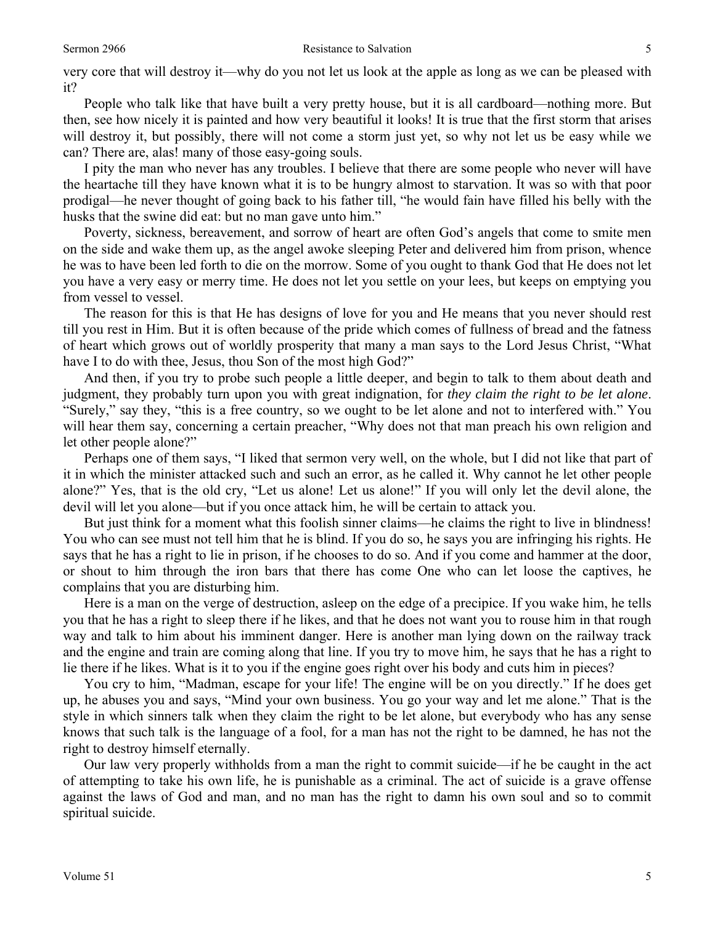very core that will destroy it—why do you not let us look at the apple as long as we can be pleased with it?

 People who talk like that have built a very pretty house, but it is all cardboard—nothing more. But then, see how nicely it is painted and how very beautiful it looks! It is true that the first storm that arises will destroy it, but possibly, there will not come a storm just yet, so why not let us be easy while we can? There are, alas! many of those easy-going souls.

 I pity the man who never has any troubles. I believe that there are some people who never will have the heartache till they have known what it is to be hungry almost to starvation. It was so with that poor prodigal—he never thought of going back to his father till, "he would fain have filled his belly with the husks that the swine did eat: but no man gave unto him."

 Poverty, sickness, bereavement, and sorrow of heart are often God's angels that come to smite men on the side and wake them up, as the angel awoke sleeping Peter and delivered him from prison, whence he was to have been led forth to die on the morrow. Some of you ought to thank God that He does not let you have a very easy or merry time. He does not let you settle on your lees, but keeps on emptying you from vessel to vessel.

 The reason for this is that He has designs of love for you and He means that you never should rest till you rest in Him. But it is often because of the pride which comes of fullness of bread and the fatness of heart which grows out of worldly prosperity that many a man says to the Lord Jesus Christ, "What have I to do with thee, Jesus, thou Son of the most high God?"

 And then, if you try to probe such people a little deeper, and begin to talk to them about death and judgment, they probably turn upon you with great indignation, for *they claim the right to be let alone*. "Surely," say they, "this is a free country, so we ought to be let alone and not to interfered with." You will hear them say, concerning a certain preacher, "Why does not that man preach his own religion and let other people alone?"

 Perhaps one of them says, "I liked that sermon very well, on the whole, but I did not like that part of it in which the minister attacked such and such an error, as he called it. Why cannot he let other people alone?" Yes, that is the old cry, "Let us alone! Let us alone!" If you will only let the devil alone, the devil will let you alone—but if you once attack him, he will be certain to attack you.

 But just think for a moment what this foolish sinner claims—he claims the right to live in blindness! You who can see must not tell him that he is blind. If you do so, he says you are infringing his rights. He says that he has a right to lie in prison, if he chooses to do so. And if you come and hammer at the door, or shout to him through the iron bars that there has come One who can let loose the captives, he complains that you are disturbing him.

 Here is a man on the verge of destruction, asleep on the edge of a precipice. If you wake him, he tells you that he has a right to sleep there if he likes, and that he does not want you to rouse him in that rough way and talk to him about his imminent danger. Here is another man lying down on the railway track and the engine and train are coming along that line. If you try to move him, he says that he has a right to lie there if he likes. What is it to you if the engine goes right over his body and cuts him in pieces?

 You cry to him, "Madman, escape for your life! The engine will be on you directly." If he does get up, he abuses you and says, "Mind your own business. You go your way and let me alone." That is the style in which sinners talk when they claim the right to be let alone, but everybody who has any sense knows that such talk is the language of a fool, for a man has not the right to be damned, he has not the right to destroy himself eternally.

 Our law very properly withholds from a man the right to commit suicide—if he be caught in the act of attempting to take his own life, he is punishable as a criminal. The act of suicide is a grave offense against the laws of God and man, and no man has the right to damn his own soul and so to commit spiritual suicide.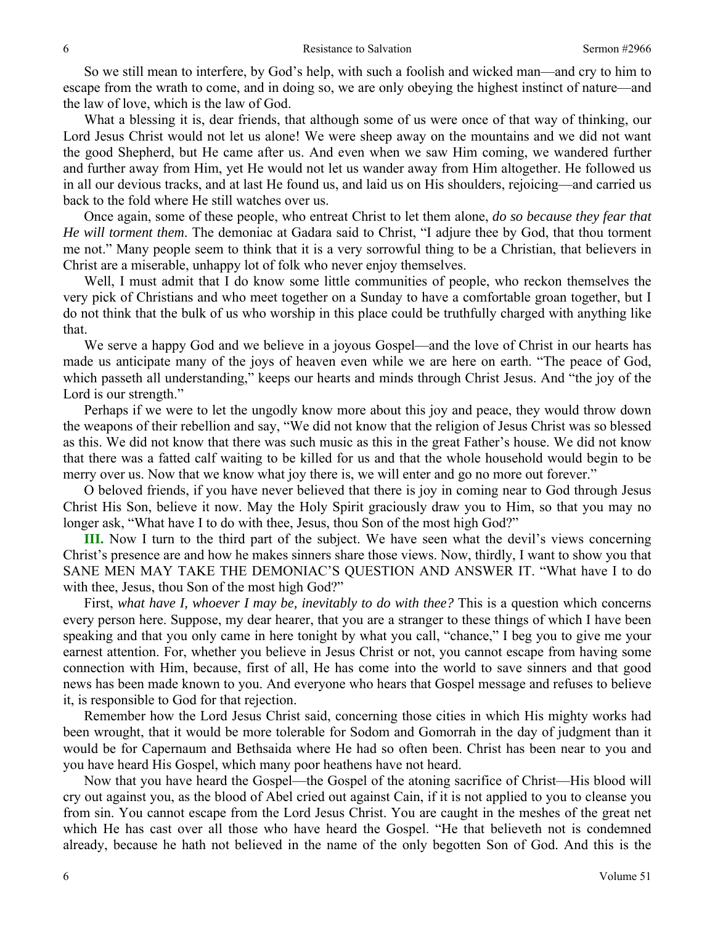So we still mean to interfere, by God's help, with such a foolish and wicked man—and cry to him to escape from the wrath to come, and in doing so, we are only obeying the highest instinct of nature—and the law of love, which is the law of God.

 What a blessing it is, dear friends, that although some of us were once of that way of thinking, our Lord Jesus Christ would not let us alone! We were sheep away on the mountains and we did not want the good Shepherd, but He came after us. And even when we saw Him coming, we wandered further and further away from Him, yet He would not let us wander away from Him altogether. He followed us in all our devious tracks, and at last He found us, and laid us on His shoulders, rejoicing—and carried us back to the fold where He still watches over us.

 Once again, some of these people, who entreat Christ to let them alone, *do so because they fear that He will torment them*. The demoniac at Gadara said to Christ, "I adjure thee by God, that thou torment me not." Many people seem to think that it is a very sorrowful thing to be a Christian, that believers in Christ are a miserable, unhappy lot of folk who never enjoy themselves.

Well, I must admit that I do know some little communities of people, who reckon themselves the very pick of Christians and who meet together on a Sunday to have a comfortable groan together, but I do not think that the bulk of us who worship in this place could be truthfully charged with anything like that.

 We serve a happy God and we believe in a joyous Gospel—and the love of Christ in our hearts has made us anticipate many of the joys of heaven even while we are here on earth. "The peace of God, which passeth all understanding," keeps our hearts and minds through Christ Jesus. And "the joy of the Lord is our strength."

 Perhaps if we were to let the ungodly know more about this joy and peace, they would throw down the weapons of their rebellion and say, "We did not know that the religion of Jesus Christ was so blessed as this. We did not know that there was such music as this in the great Father's house. We did not know that there was a fatted calf waiting to be killed for us and that the whole household would begin to be merry over us. Now that we know what joy there is, we will enter and go no more out forever."

 O beloved friends, if you have never believed that there is joy in coming near to God through Jesus Christ His Son, believe it now. May the Holy Spirit graciously draw you to Him, so that you may no longer ask, "What have I to do with thee, Jesus, thou Son of the most high God?"

**III.** Now I turn to the third part of the subject. We have seen what the devil's views concerning Christ's presence are and how he makes sinners share those views. Now, thirdly, I want to show you that SANE MEN MAY TAKE THE DEMONIAC'S QUESTION AND ANSWER IT. "What have I to do with thee, Jesus, thou Son of the most high God?"

 First, *what have I, whoever I may be, inevitably to do with thee?* This is a question which concerns every person here. Suppose, my dear hearer, that you are a stranger to these things of which I have been speaking and that you only came in here tonight by what you call, "chance," I beg you to give me your earnest attention. For, whether you believe in Jesus Christ or not, you cannot escape from having some connection with Him, because, first of all, He has come into the world to save sinners and that good news has been made known to you. And everyone who hears that Gospel message and refuses to believe it, is responsible to God for that rejection.

 Remember how the Lord Jesus Christ said, concerning those cities in which His mighty works had been wrought, that it would be more tolerable for Sodom and Gomorrah in the day of judgment than it would be for Capernaum and Bethsaida where He had so often been. Christ has been near to you and you have heard His Gospel, which many poor heathens have not heard.

 Now that you have heard the Gospel—the Gospel of the atoning sacrifice of Christ—His blood will cry out against you, as the blood of Abel cried out against Cain, if it is not applied to you to cleanse you from sin. You cannot escape from the Lord Jesus Christ. You are caught in the meshes of the great net which He has cast over all those who have heard the Gospel. "He that believeth not is condemned already, because he hath not believed in the name of the only begotten Son of God. And this is the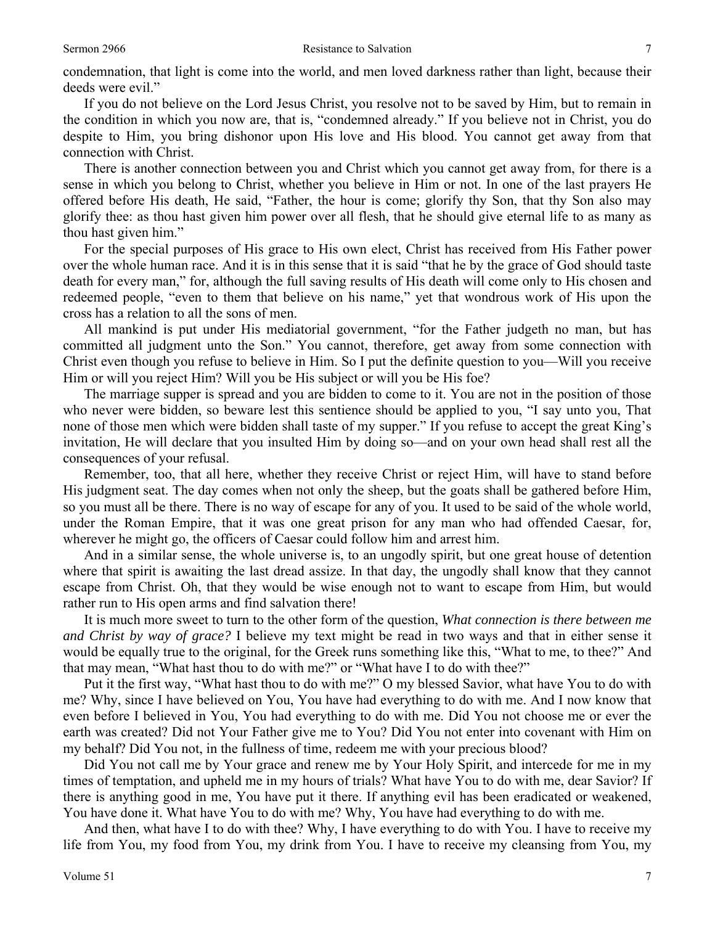condemnation, that light is come into the world, and men loved darkness rather than light, because their deeds were evil."

 If you do not believe on the Lord Jesus Christ, you resolve not to be saved by Him, but to remain in the condition in which you now are, that is, "condemned already." If you believe not in Christ, you do despite to Him, you bring dishonor upon His love and His blood. You cannot get away from that connection with Christ.

 There is another connection between you and Christ which you cannot get away from, for there is a sense in which you belong to Christ, whether you believe in Him or not. In one of the last prayers He offered before His death, He said, "Father, the hour is come; glorify thy Son, that thy Son also may glorify thee: as thou hast given him power over all flesh, that he should give eternal life to as many as thou hast given him."

 For the special purposes of His grace to His own elect, Christ has received from His Father power over the whole human race. And it is in this sense that it is said "that he by the grace of God should taste death for every man," for, although the full saving results of His death will come only to His chosen and redeemed people, "even to them that believe on his name," yet that wondrous work of His upon the cross has a relation to all the sons of men.

 All mankind is put under His mediatorial government, "for the Father judgeth no man, but has committed all judgment unto the Son." You cannot, therefore, get away from some connection with Christ even though you refuse to believe in Him. So I put the definite question to you—Will you receive Him or will you reject Him? Will you be His subject or will you be His foe?

 The marriage supper is spread and you are bidden to come to it. You are not in the position of those who never were bidden, so beware lest this sentience should be applied to you, "I say unto you, That none of those men which were bidden shall taste of my supper." If you refuse to accept the great King's invitation, He will declare that you insulted Him by doing so—and on your own head shall rest all the consequences of your refusal.

 Remember, too, that all here, whether they receive Christ or reject Him, will have to stand before His judgment seat. The day comes when not only the sheep, but the goats shall be gathered before Him, so you must all be there. There is no way of escape for any of you. It used to be said of the whole world, under the Roman Empire, that it was one great prison for any man who had offended Caesar, for, wherever he might go, the officers of Caesar could follow him and arrest him.

 And in a similar sense, the whole universe is, to an ungodly spirit, but one great house of detention where that spirit is awaiting the last dread assize. In that day, the ungodly shall know that they cannot escape from Christ. Oh, that they would be wise enough not to want to escape from Him, but would rather run to His open arms and find salvation there!

 It is much more sweet to turn to the other form of the question, *What connection is there between me and Christ by way of grace?* I believe my text might be read in two ways and that in either sense it would be equally true to the original, for the Greek runs something like this, "What to me, to thee?" And that may mean, "What hast thou to do with me?" or "What have I to do with thee?"

 Put it the first way, "What hast thou to do with me?" O my blessed Savior, what have You to do with me? Why, since I have believed on You, You have had everything to do with me. And I now know that even before I believed in You, You had everything to do with me. Did You not choose me or ever the earth was created? Did not Your Father give me to You? Did You not enter into covenant with Him on my behalf? Did You not, in the fullness of time, redeem me with your precious blood?

 Did You not call me by Your grace and renew me by Your Holy Spirit, and intercede for me in my times of temptation, and upheld me in my hours of trials? What have You to do with me, dear Savior? If there is anything good in me, You have put it there. If anything evil has been eradicated or weakened, You have done it. What have You to do with me? Why, You have had everything to do with me.

 And then, what have I to do with thee? Why, I have everything to do with You. I have to receive my life from You, my food from You, my drink from You. I have to receive my cleansing from You, my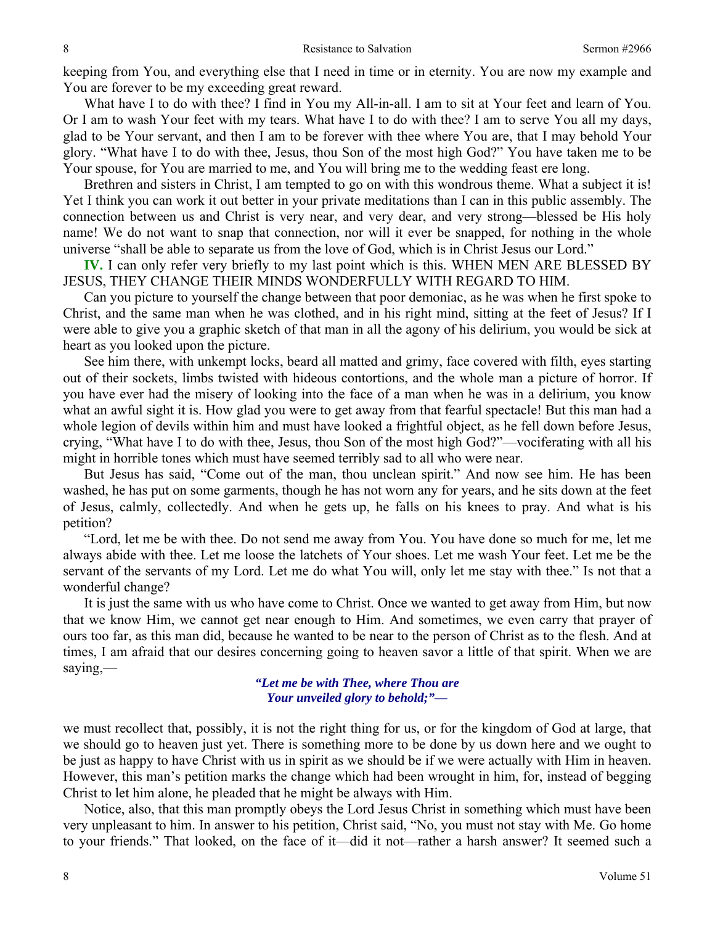keeping from You, and everything else that I need in time or in eternity. You are now my example and You are forever to be my exceeding great reward.

 What have I to do with thee? I find in You my All-in-all. I am to sit at Your feet and learn of You. Or I am to wash Your feet with my tears. What have I to do with thee? I am to serve You all my days, glad to be Your servant, and then I am to be forever with thee where You are, that I may behold Your glory. "What have I to do with thee, Jesus, thou Son of the most high God?" You have taken me to be Your spouse, for You are married to me, and You will bring me to the wedding feast ere long.

 Brethren and sisters in Christ, I am tempted to go on with this wondrous theme. What a subject it is! Yet I think you can work it out better in your private meditations than I can in this public assembly. The connection between us and Christ is very near, and very dear, and very strong—blessed be His holy name! We do not want to snap that connection, nor will it ever be snapped, for nothing in the whole universe "shall be able to separate us from the love of God, which is in Christ Jesus our Lord."

**IV.** I can only refer very briefly to my last point which is this. WHEN MEN ARE BLESSED BY JESUS, THEY CHANGE THEIR MINDS WONDERFULLY WITH REGARD TO HIM.

 Can you picture to yourself the change between that poor demoniac, as he was when he first spoke to Christ, and the same man when he was clothed, and in his right mind, sitting at the feet of Jesus? If I were able to give you a graphic sketch of that man in all the agony of his delirium, you would be sick at heart as you looked upon the picture.

 See him there, with unkempt locks, beard all matted and grimy, face covered with filth, eyes starting out of their sockets, limbs twisted with hideous contortions, and the whole man a picture of horror. If you have ever had the misery of looking into the face of a man when he was in a delirium, you know what an awful sight it is. How glad you were to get away from that fearful spectacle! But this man had a whole legion of devils within him and must have looked a frightful object, as he fell down before Jesus, crying, "What have I to do with thee, Jesus, thou Son of the most high God?"—vociferating with all his might in horrible tones which must have seemed terribly sad to all who were near.

 But Jesus has said, "Come out of the man, thou unclean spirit." And now see him. He has been washed, he has put on some garments, though he has not worn any for years, and he sits down at the feet of Jesus, calmly, collectedly. And when he gets up, he falls on his knees to pray. And what is his petition?

 "Lord, let me be with thee. Do not send me away from You. You have done so much for me, let me always abide with thee. Let me loose the latchets of Your shoes. Let me wash Your feet. Let me be the servant of the servants of my Lord. Let me do what You will, only let me stay with thee." Is not that a wonderful change?

 It is just the same with us who have come to Christ. Once we wanted to get away from Him, but now that we know Him, we cannot get near enough to Him. And sometimes, we even carry that prayer of ours too far, as this man did, because he wanted to be near to the person of Christ as to the flesh. And at times, I am afraid that our desires concerning going to heaven savor a little of that spirit. When we are saying,—

> *"Let me be with Thee, where Thou are Your unveiled glory to behold;"—*

we must recollect that, possibly, it is not the right thing for us, or for the kingdom of God at large, that we should go to heaven just yet. There is something more to be done by us down here and we ought to be just as happy to have Christ with us in spirit as we should be if we were actually with Him in heaven. However, this man's petition marks the change which had been wrought in him, for, instead of begging Christ to let him alone, he pleaded that he might be always with Him.

 Notice, also, that this man promptly obeys the Lord Jesus Christ in something which must have been very unpleasant to him. In answer to his petition, Christ said, "No, you must not stay with Me. Go home to your friends." That looked, on the face of it—did it not—rather a harsh answer? It seemed such a